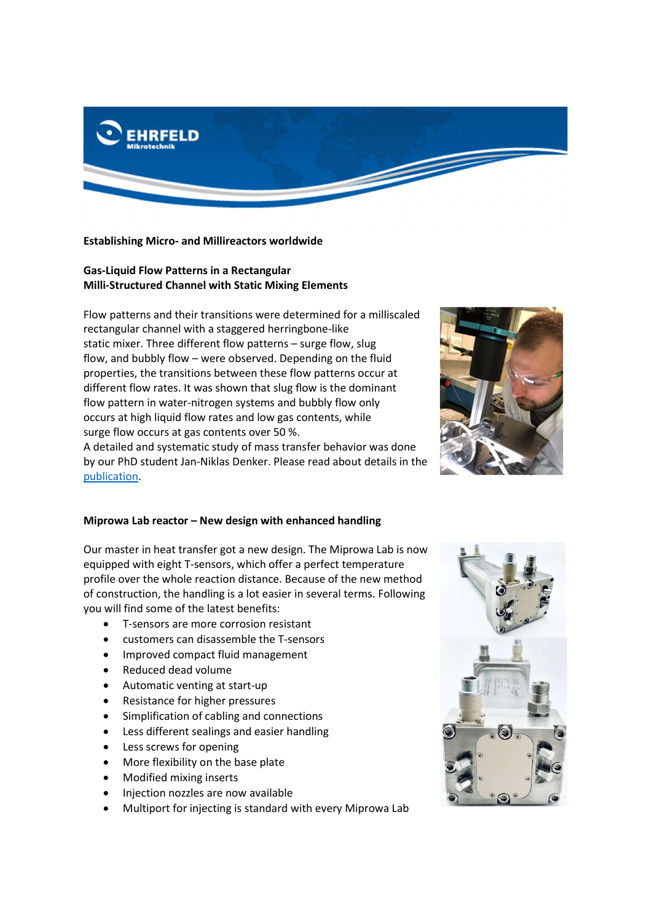

## Establishing Micro- and Millireactors worldwide

## Gas-Liquid Flow Patterns in a Rectangular Milli-Structured Channel with Static Mixing Elements

Flow patterns and their transitions were determined for a milliscaled rectangular channel with a staggered herringbone-like static mixer. Three different flow patterns – surge flow, slug flow, and bubbly flow – were observed. Depending on the fluid properties, the transitions between these flow patterns occur at different flow rates. It was shown that slug flow is the dominant flow pattern in water-nitrogen systems and bubbly flow only occurs at high liquid flow rates and low gas contents, while surge flow occurs at gas contents over 50 %.

A detailed and systematic study of mass transfer behavior was done by our PhD student Jan-Niklas Denker. Please read about details in the publication.



## Miprowa Lab reactor – New design with enhanced handling

Our master in heat transfer got a new design. The Miprowa Lab is now equipped with eight T-sensors, which offer a perfect temperature profile over the whole reaction distance. Because of the new method of construction, the handling is a lot easier in several terms. Following you will find some of the latest benefits:

- T-sensors are more corrosion resistant
- customers can disassemble the T-sensors
- Improved compact fluid management
- Reduced dead volume
- Automatic venting at start-up
- Resistance for higher pressures
- Simplification of cabling and connections
- Less different sealings and easier handling
- Less screws for opening
- More flexibility on the base plate
- Modified mixing inserts
- Injection nozzles are now available
- Multiport for injecting is standard with every Miprowa Lab